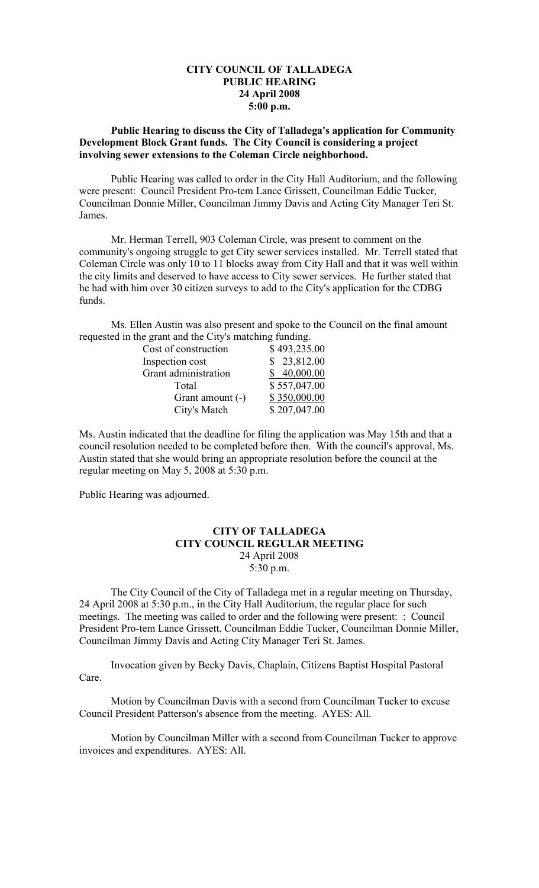## **CITY COUNCIL OF TALLADEGA PUBLIC HEARING 24 April 2008 5:00 p.m.**

## **Public Hearing to discuss the City of Talladega's application for Community Development Block Grant funds. The City Council is considering a project involving sewer extensions to the Coleman Circle neighborhood.**

Public Hearing was called to order in the City Hall Auditorium, and the following were present: Council President Pro-tem Lance Grissett, Councilman Eddie Tucker, Councilman Donnie Miller, Councilman Jimmy Davis and Acting City Manager Teri St. James.

Mr. Herman Terrell, 903 Coleman Circle, was present to comment on the community's ongoing struggle to get City sewer services installed. Mr. Terrell stated that Coleman Circle was only 10 to 11 blocks away from City Hall and that it was well within the city limits and deserved to have access to City sewer services. He further stated that he had with him over 30 citizen surveys to add to the City's application for the CDBG funds.

Ms. Ellen Austin was also present and spoke to the Council on the final amount requested in the grant and the City's matching funding.

| Cost of construction | \$493,235.00 |
|----------------------|--------------|
| Inspection cost      | \$23,812.00  |
| Grant administration | \$40,000.00  |
| Total                | \$557,047.00 |
| Grant amount (-)     | \$350,000.00 |
| City's Match         | \$207,047.00 |

Ms. Austin indicated that the deadline for filing the application was May 15th and that a council resolution needed to be completed before then. With the council's approval, Ms. Austin stated that she would bring an appropriate resolution before the council at the regular meeting on May 5, 2008 at 5:30 p.m.

Public Hearing was adjourned.

## **CITY OF TALLADEGA CITY COUNCIL REGULAR MEETING** 24 April 2008 5:30 p.m.

The City Council of the City of Talladega met in a regular meeting on Thursday, 24 April 2008 at 5:30 p.m., in the City Hall Auditorium, the regular place for such meetings. The meeting was called to order and the following were present: : Council President Pro-tem Lance Grissett, Councilman Eddie Tucker, Councilman Donnie Miller, Councilman Jimmy Davis and Acting City Manager Teri St. James.

Invocation given by Becky Davis, Chaplain, Citizens Baptist Hospital Pastoral Care.

Motion by Councilman Davis with a second from Councilman Tucker to excuse Council President Patterson's absence from the meeting. AYES: All.

Motion by Councilman Miller with a second from Councilman Tucker to approve invoices and expenditures. AYES: All.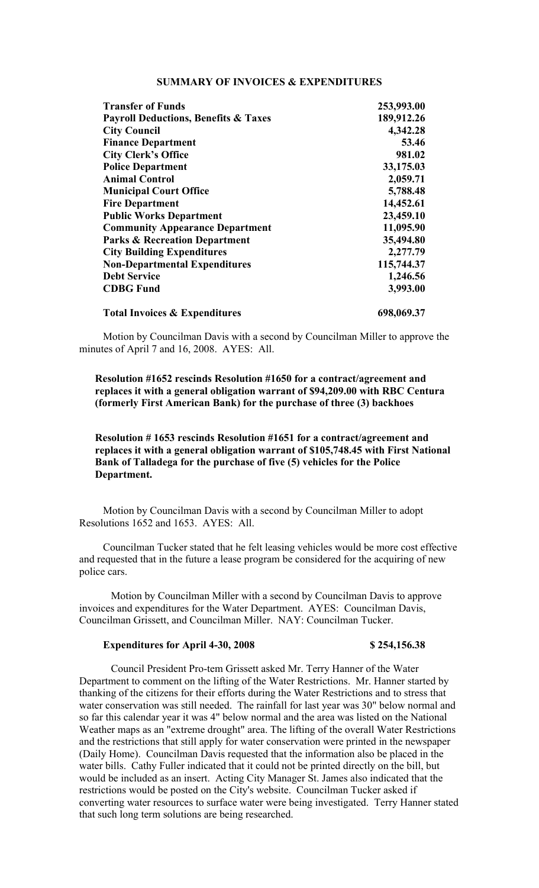## **SUMMARY OF INVOICES & EXPENDITURES**

| <b>Transfer of Funds</b>                        | 253,993.00 |
|-------------------------------------------------|------------|
| <b>Payroll Deductions, Benefits &amp; Taxes</b> | 189,912.26 |
| <b>City Council</b>                             | 4,342.28   |
| <b>Finance Department</b>                       | 53.46      |
| <b>City Clerk's Office</b>                      | 981.02     |
| <b>Police Department</b>                        | 33,175.03  |
| <b>Animal Control</b>                           | 2,059.71   |
| <b>Municipal Court Office</b>                   | 5,788.48   |
| <b>Fire Department</b>                          | 14,452.61  |
| <b>Public Works Department</b>                  | 23,459.10  |
| <b>Community Appearance Department</b>          | 11,095.90  |
| <b>Parks &amp; Recreation Department</b>        | 35,494.80  |
| <b>City Building Expenditures</b>               | 2,277.79   |
| <b>Non-Departmental Expenditures</b>            | 115,744.37 |
| <b>Debt Service</b>                             | 1,246.56   |
| <b>CDBG Fund</b>                                | 3,993.00   |
| <b>Total Invoices &amp; Expenditures</b>        | 698,069.37 |

Motion by Councilman Davis with a second by Councilman Miller to approve the minutes of April 7 and 16, 2008. AYES: All.

#### **Resolution #1652 rescinds Resolution #1650 for a contract/agreement and replaces it with a general obligation warrant of \$94,209.00 with RBC Centura (formerly First American Bank) for the purchase of three (3) backhoes**

## **Resolution # 1653 rescinds Resolution #1651 for a contract/agreement and replaces it with a general obligation warrant of \$105,748.45 with First National Bank of Talladega for the purchase of five (5) vehicles for the Police Department.**

Motion by Councilman Davis with a second by Councilman Miller to adopt Resolutions 1652 and 1653. AYES: All.

Councilman Tucker stated that he felt leasing vehicles would be more cost effective and requested that in the future a lease program be considered for the acquiring of new police cars.

Motion by Councilman Miller with a second by Councilman Davis to approve invoices and expenditures for the Water Department. AYES: Councilman Davis, Councilman Grissett, and Councilman Miller. NAY: Councilman Tucker.

#### **Expenditures for April 4-30, 2008 \$ 254,156.38**

Council President Pro-tem Grissett asked Mr. Terry Hanner of the Water Department to comment on the lifting of the Water Restrictions. Mr. Hanner started by thanking of the citizens for their efforts during the Water Restrictions and to stress that water conservation was still needed. The rainfall for last year was 30" below normal and so far this calendar year it was 4" below normal and the area was listed on the National Weather maps as an "extreme drought" area. The lifting of the overall Water Restrictions and the restrictions that still apply for water conservation were printed in the newspaper (Daily Home). Councilman Davis requested that the information also be placed in the water bills. Cathy Fuller indicated that it could not be printed directly on the bill, but would be included as an insert. Acting City Manager St. James also indicated that the restrictions would be posted on the City's website. Councilman Tucker asked if converting water resources to surface water were being investigated. Terry Hanner stated that such long term solutions are being researched.